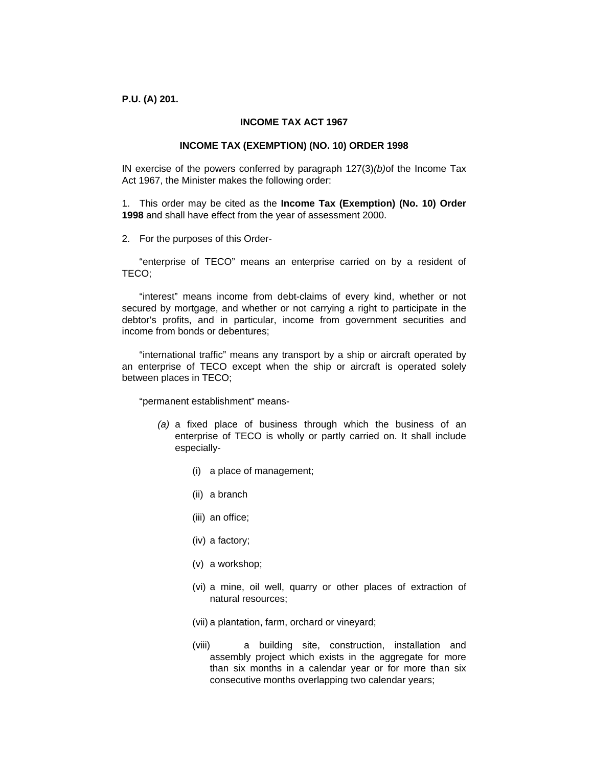**P.U. (A) 201.** 

# **INCOME TAX ACT 1967**

#### **INCOME TAX (EXEMPTION) (NO. 10) ORDER 1998**

IN exercise of the powers conferred by paragraph 127(3)*(b)*of the Income Tax Act 1967, the Minister makes the following order:

1. This order may be cited as the **Income Tax (Exemption) (No. 10) Order 1998** and shall have effect from the year of assessment 2000.

2. For the purposes of this Order-

 "enterprise of TECO" means an enterprise carried on by a resident of TECO;

 "interest" means income from debt-claims of every kind, whether or not secured by mortgage, and whether or not carrying a right to participate in the debtor's profits, and in particular, income from government securities and income from bonds or debentures;

 "international traffic" means any transport by a ship or aircraft operated by an enterprise of TECO except when the ship or aircraft is operated solely between places in TECO;

"permanent establishment" means-

- *(a)* a fixed place of business through which the business of an enterprise of TECO is wholly or partly carried on. It shall include especially-
	- (i) a place of management;
	- (ii) a branch
	- (iii) an office;
	- (iv) a factory;
	- (v) a workshop;
	- (vi) a mine, oil well, quarry or other places of extraction of natural resources;
	- (vii) a plantation, farm, orchard or vineyard;
	- (viii) a building site, construction, installation and assembly project which exists in the aggregate for more than six months in a calendar year or for more than six consecutive months overlapping two calendar years;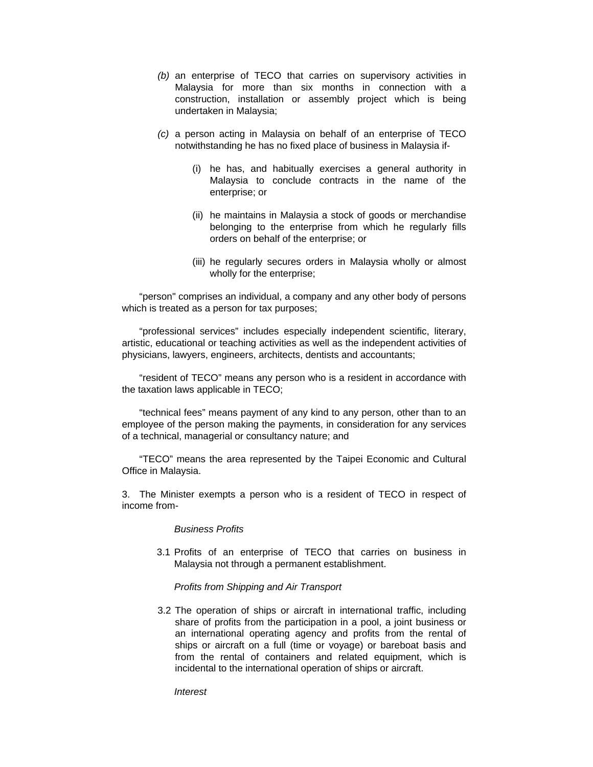- *(b)* an enterprise of TECO that carries on supervisory activities in Malaysia for more than six months in connection with a construction, installation or assembly project which is being undertaken in Malaysia;
- *(c)* a person acting in Malaysia on behalf of an enterprise of TECO notwithstanding he has no fixed place of business in Malaysia if-
	- (i) he has, and habitually exercises a general authority in Malaysia to conclude contracts in the name of the enterprise; or
	- (ii) he maintains in Malaysia a stock of goods or merchandise belonging to the enterprise from which he regularly fills orders on behalf of the enterprise; or
	- (iii) he regularly secures orders in Malaysia wholly or almost wholly for the enterprise;

 "person" comprises an individual, a company and any other body of persons which is treated as a person for tax purposes;

 "professional services" includes especially independent scientific, literary, artistic, educational or teaching activities as well as the independent activities of physicians, lawyers, engineers, architects, dentists and accountants;

 "resident of TECO" means any person who is a resident in accordance with the taxation laws applicable in TECO;

 "technical fees" means payment of any kind to any person, other than to an employee of the person making the payments, in consideration for any services of a technical, managerial or consultancy nature; and

 "TECO" means the area represented by the Taipei Economic and Cultural Office in Malaysia.

3. The Minister exempts a person who is a resident of TECO in respect of income from-

### *Business Profits*

3.1 Profits of an enterprise of TECO that carries on business in Malaysia not through a permanent establishment.

#### *Profits from Shipping and Air Transport*

3.2 The operation of ships or aircraft in international traffic, including share of profits from the participation in a pool, a joint business or an international operating agency and profits from the rental of ships or aircraft on a full (time or voyage) or bareboat basis and from the rental of containers and related equipment, which is incidental to the international operation of ships or aircraft.

*Interest*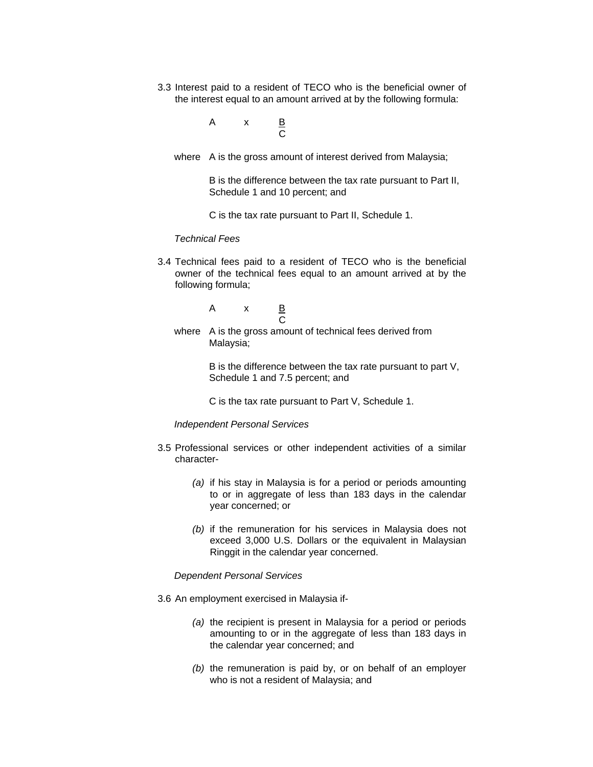3.3 Interest paid to a resident of TECO who is the beneficial owner of the interest equal to an amount arrived at by the following formula:

$$
A \times B
$$

where A is the gross amount of interest derived from Malaysia;

 B is the difference between the tax rate pursuant to Part II, Schedule 1 and 10 percent; and

C is the tax rate pursuant to Part II, Schedule 1.

### *Technical Fees*

3.4 Technical fees paid to a resident of TECO who is the beneficial owner of the technical fees equal to an amount arrived at by the following formula;

$$
\begin{array}{cccc}\n & A & x & \underline{B} \\
& C & \n\end{array}
$$

 where A is the gross amount of technical fees derived from Malaysia;

> B is the difference between the tax rate pursuant to part V, Schedule 1 and 7.5 percent; and

C is the tax rate pursuant to Part V, Schedule 1.

*Independent Personal Services* 

- 3.5 Professional services or other independent activities of a similar character-
	- *(a)* if his stay in Malaysia is for a period or periods amounting to or in aggregate of less than 183 days in the calendar year concerned; or
	- *(b)* if the remuneration for his services in Malaysia does not exceed 3,000 U.S. Dollars or the equivalent in Malaysian Ringgit in the calendar year concerned.

# *Dependent Personal Services*

- 3.6 An employment exercised in Malaysia if-
	- *(a)* the recipient is present in Malaysia for a period or periods amounting to or in the aggregate of less than 183 days in the calendar year concerned; and
	- *(b)* the remuneration is paid by, or on behalf of an employer who is not a resident of Malaysia; and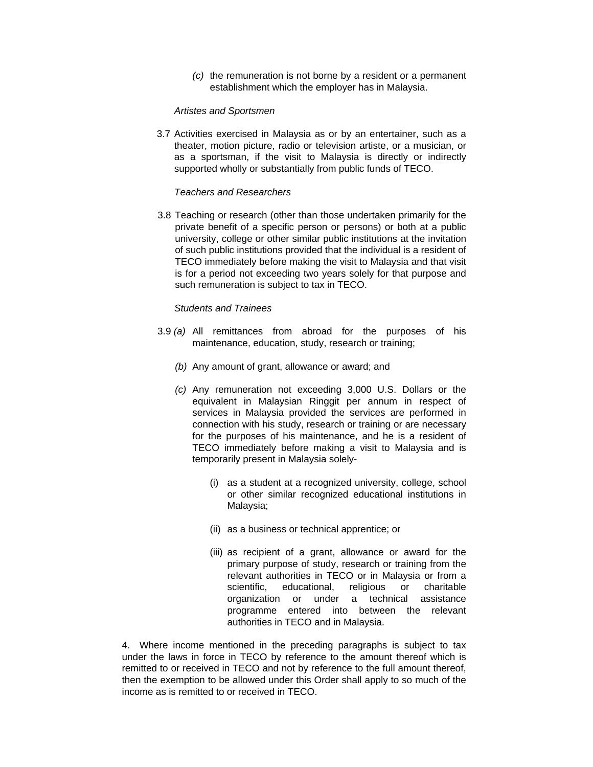*(c)* the remuneration is not borne by a resident or a permanent establishment which the employer has in Malaysia.

# *Artistes and Sportsmen*

3.7 Activities exercised in Malaysia as or by an entertainer, such as a theater, motion picture, radio or television artiste, or a musician, or as a sportsman, if the visit to Malaysia is directly or indirectly supported wholly or substantially from public funds of TECO.

# *Teachers and Researchers*

3.8 Teaching or research (other than those undertaken primarily for the private benefit of a specific person or persons) or both at a public university, college or other similar public institutions at the invitation of such public institutions provided that the individual is a resident of TECO immediately before making the visit to Malaysia and that visit is for a period not exceeding two years solely for that purpose and such remuneration is subject to tax in TECO.

# *Students and Trainees*

- 3.9 *(a)* All remittances from abroad for the purposes of his maintenance, education, study, research or training;
	- *(b)* Any amount of grant, allowance or award; and
	- *(c)* Any remuneration not exceeding 3,000 U.S. Dollars or the equivalent in Malaysian Ringgit per annum in respect of services in Malaysia provided the services are performed in connection with his study, research or training or are necessary for the purposes of his maintenance, and he is a resident of TECO immediately before making a visit to Malaysia and is temporarily present in Malaysia solely-
		- (i) as a student at a recognized university, college, school or other similar recognized educational institutions in Malaysia;
		- (ii) as a business or technical apprentice; or
		- (iii) as recipient of a grant, allowance or award for the primary purpose of study, research or training from the relevant authorities in TECO or in Malaysia or from a scientific, educational, religious or charitable organization or under a technical assistance programme entered into between the relevant authorities in TECO and in Malaysia.

4. Where income mentioned in the preceding paragraphs is subject to tax under the laws in force in TECO by reference to the amount thereof which is remitted to or received in TECO and not by reference to the full amount thereof, then the exemption to be allowed under this Order shall apply to so much of the income as is remitted to or received in TECO.